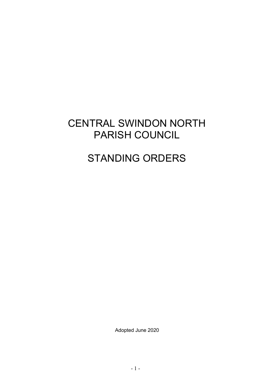# CENTRAL SWINDON NORTH PARISH COUNCIL

# STANDING ORDERS

Adopted June 2020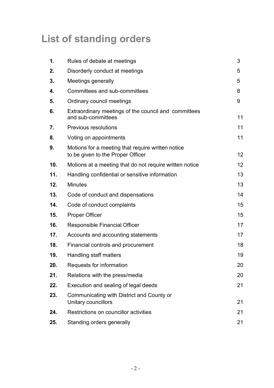# **List of standing orders**

| 1.  | Rules of debate at meetings                                                            | 3  |
|-----|----------------------------------------------------------------------------------------|----|
| 2.  | Disorderly conduct at meetings                                                         | 5  |
| 3.  | Meetings generally                                                                     | 5  |
| 4.  | Committees and sub-committees                                                          | 8  |
| 5.  | Ordinary council meetings                                                              | 9  |
| 6.  | Extraordinary meetings of the council and committees<br>and sub-committees             | 11 |
| 7.  | <b>Previous resolutions</b>                                                            | 11 |
| 8.  | Voting on appointments                                                                 | 11 |
| 9.  | Motions for a meeting that require written notice<br>to be given to the Proper Officer | 12 |
| 10. | Motions at a meeting that do not require written notice                                | 12 |
| 11. | Handling confidential or sensitive information                                         | 13 |
| 12. | <b>Minutes</b>                                                                         | 13 |
| 13. | Code of conduct and dispensations                                                      | 14 |
| 14. | Code of conduct complaints                                                             | 15 |
| 15. | <b>Proper Officer</b>                                                                  | 15 |
| 16. | <b>Responsible Financial Officer</b>                                                   | 17 |
| 17. | Accounts and accounting statements                                                     | 17 |
| 18. | Financial controls and procurement                                                     | 18 |
| 19. | Handling staff matters                                                                 | 19 |
| 20. | Requests for information                                                               | 20 |
| 21. | Relations with the press/media                                                         | 20 |
| 22. | Execution and sealing of legal deeds                                                   | 21 |
| 23. | Communicating with District and County or<br>Unitary councillors                       | 21 |
| 24. | Restrictions on councillor activities                                                  | 21 |
| 25. | Standing orders generally                                                              | 21 |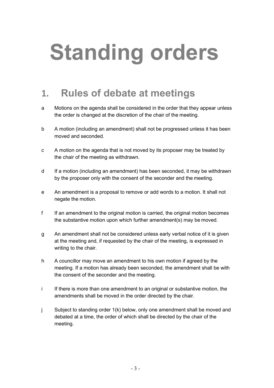# **Standing orders**

#### <span id="page-2-0"></span>**1. Rules of debate at meetings**

- a Motions on the agenda shall be considered in the order that they appear unless the order is changed at the discretion of the chair of the meeting.
- b A motion (including an amendment) shall not be progressed unless it has been moved and seconded.
- c A motion on the agenda that is not moved by its proposer may be treated by the chair of the meeting as withdrawn.
- d If a motion (including an amendment) has been seconded, it may be withdrawn by the proposer only with the consent of the seconder and the meeting.
- e An amendment is a proposal to remove or add words to a motion. It shall not negate the motion.
- f If an amendment to the original motion is carried, the original motion becomes the substantive motion upon which further amendment(s) may be moved.
- g An amendment shall not be considered unless early verbal notice of it is given at the meeting and, if requested by the chair of the meeting, is expressed in writing to the chair.
- h A councillor may move an amendment to his own motion if agreed by the meeting. If a motion has already been seconded, the amendment shall be with the consent of the seconder and the meeting.
- i If there is more than one amendment to an original or substantive motion, the amendments shall be moved in the order directed by the chair.
- j Subject to standing order 1(k) below, only one amendment shall be moved and debated at a time, the order of which shall be directed by the chair of the meeting.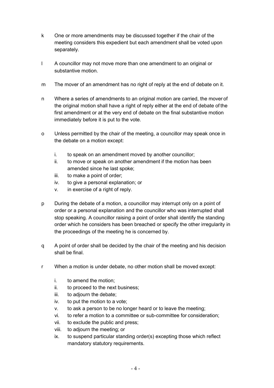- k One or more amendments may be discussed together if the chair of the meeting considers this expedient but each amendment shall be voted upon separately.
- l A councillor may not move more than one amendment to an original or substantive motion.
- m The mover of an amendment has no right of reply at the end of debate on it.
- n Where a series of amendments to an original motion are carried, the mover of the original motion shall have a right of reply either at the end of debate of the first amendment or at the very end of debate on the final substantive motion immediately before it is put to the vote.
- o Unless permitted by the chair of the meeting, a councillor may speak once in the debate on a motion except:
	- i. to speak on an amendment moved by another councillor;
	- ii. to move or speak on another amendment if the motion has been amended since he last spoke;
	- iii. to make a point of order;
	- iv. to give a personal explanation; or
	- v. in exercise of a right of reply.
- p During the debate of a motion, a councillor may interrupt only on a point of order or a personal explanation and the councillor who was interrupted shall stop speaking. A councillor raising a point of order shall identify the standing order which he considers has been breached or specify the other irregularity in the proceedings of the meeting he is concerned by.
- q A point of order shall be decided by the chair of the meeting and his decision shall be final.
- r When a motion is under debate, no other motion shall be moved except:
	- i. to amend the motion;
	- ii. to proceed to the next business;
	- iii. to adjourn the debate;
	- iv. to put the motion to a vote;
	- v. to ask a person to be no longer heard or to leave the meeting;
	- vi. to refer a motion to a committee or sub-committee for consideration;
	- vii. to exclude the public and press;
	- viii. to adjourn the meeting; or
	- ix. to suspend particular standing order(s) excepting those which reflect mandatory statutory requirements.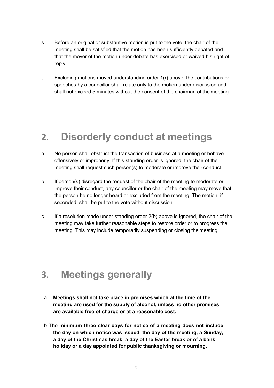- s Before an original or substantive motion is put to the vote, the chair of the meeting shall be satisfied that the motion has been sufficiently debated and that the mover of the motion under debate has exercised or waived his right of reply.
- t Excluding motions moved understanding order 1(r) above, the contributions or speeches by a councillor shall relate only to the motion under discussion and shall not exceed 5 minutes without the consent of the chairman of the meeting.

#### <span id="page-4-0"></span>**2. Disorderly conduct at meetings**

- a No person shall obstruct the transaction of business at a meeting or behave offensively or improperly. If this standing order is ignored, the chair of the meeting shall request such person(s) to moderate or improve their conduct.
- b If person(s) disregard the request of the chair of the meeting to moderate or improve their conduct, any councillor or the chair of the meeting may move that the person be no longer heard or excluded from the meeting. The motion, if seconded, shall be put to the vote without discussion.
- c If a resolution made under standing order 2(b) above is ignored, the chair of the meeting may take further reasonable steps to restore order or to progress the meeting. This may include temporarily suspending or closing the meeting.

#### <span id="page-4-1"></span>**3. Meetings generally**

- a **Meetings shall not take place in premises which at the time of the meeting are used for the supply of alcohol, unless no other premises are available free of charge or at a reasonable cost.**
- b **The minimum three clear days for notice of a meeting does not include the day on which notice was issued, the day of the meeting, a Sunday, a day of the Christmas break, a day of the Easter break or of a bank holiday or a day appointed for public thanksgiving or mourning.**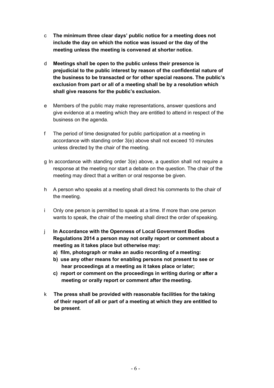- c **The minimum three clear days' public notice for a meeting does not include the day on which the notice was issued or the day of the meeting unless the meeting is convened at shorter notice.**
- d **Meetings shall be open to the public unless their presence is prejudicial to the public interest by reason of the confidential nature of the business to be transacted or for other special reasons. The public's exclusion from part or all of a meeting shall be by a resolution which shall give reasons for the public's exclusion.**
- e Members of the public may make representations, answer questions and give evidence at a meeting which they are entitled to attend in respect of the business on the agenda.
- f The period of time designated for public participation at a meeting in accordance with standing order 3(e) above shall not exceed 10 minutes unless directed by the chair of the meeting.
- g In accordance with standing order 3(e) above, a question shall not require a response at the meeting nor start a debate on the question. The chair of the meeting may direct that a written or oral response be given.
- h A person who speaks at a meeting shall direct his comments to the chair of the meeting.
- i Only one person is permitted to speak at a time. If more than one person wants to speak, the chair of the meeting shall direct the order of speaking.
- j **In Accordance with the Openness of Local Government Bodies Regulations 2014 a person may not orally report or comment about a meeting as it takes place but otherwise may:**
	- **a) film, photograph or make an audio recording of a meeting:**
	- **b) use any other means for enabling persons not present to see or hear proceedings at a meeting as it takes place or later;**
	- **c) report or comment on the proceedings in writing during or after a meeting or orally report or comment after the meeting.**
- k **The press shall be provided with reasonable facilities for the taking of their report of all or part of a meeting at which they are entitled to be present**.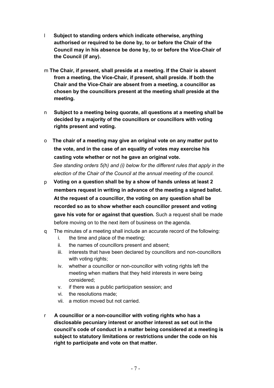- l **Subject to standing orders which indicate otherwise, anything authorised or required to be done by, to or before the Chair of the Council may in his absence be done by, to or before the Vice-Chair of the Council (if any).**
- m **The Chair, if present, shall preside at a meeting. If the Chair is absent from a meeting, the Vice-Chair, if present, shall preside. If both the Chair and the Vice-Chair are absent from a meeting, a councillor as chosen by the councillors present at the meeting shall preside at the meeting.**
- n **Subject to a meeting being quorate, all questions at a meeting shall be decided by a majority of the councillors or councillors with voting rights present and voting.**
- o **The chair of a meeting may give an original vote on any matter put to the vote, and in the case of an equality of votes may exercise his casting vote whether or not he gave an original vote.**

*See standing orders 5(h) and (i) below for the different rules that apply in the election of the Chair of the Council at the annual meeting of the council.*

- p **Voting on a question shall be by a show of hands unless at least 2 members request in writing in advance of the meeting a signed ballot. At the request of a councillor, the voting on any question shall be recorded so as to show whether each councillor present and voting gave his vote for or against that question.** Such a request shall be made before moving on to the next item of business on the agenda.
- q The minutes of a meeting shall include an accurate record of the following:
	- i. the time and place of the meeting;
	- ii. the names of councillors present and absent;
	- iii. interests that have been declared by councillors and non-councillors with voting rights;
	- iv. whether a councillor or non-councillor with voting rights left the meeting when matters that they held interests in were being considered;
	- v. if there was a public participation session; and
	- vi. the resolutions made;
	- vii. a motion moved but not carried.
- r **A councillor or a non-councillor with voting rights who has a disclosable pecuniary interest or another interest as set out in the council's code of conduct in a matter being considered at a meeting is subject to statutory limitations or restrictions under the code on his right to participate and vote on that matter.**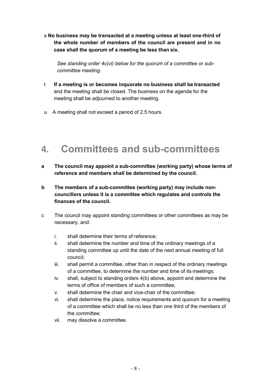s **No business may be transacted at a meeting unless at least one-third of the whole number of members of the council are present and in no case shall the quorum of a meeting be less than six.**

*See standing order 4c(vi) below for the quorum of a committee or subcommittee meeting.*

- t **If a meeting is or becomes inquorate no business shall be transacted**  and the meeting shall be closed. The business on the agenda for the meeting shall be adjourned to another meeting.
- u A meeting shall not exceed a period of 2.5 hours.

#### <span id="page-7-0"></span>**4. Committees and sub-committees**

- **a The council may appoint a sub-committee (working party) whose terms of reference and members shall be determined by the council.**
- **b The members of a sub-committee (working party) may include noncouncillors unless it is a committee which regulates and controls the finances of the council.**
- c The council may appoint standing committees or other committees as may be necessary, and:
	- i. shall determine their terms of reference;
	- ii. shall determine the number and time of the ordinary meetings of a standing committee up until the date of the next annual meeting of full council;
	- iii. shall permit a committee, other than in respect of the ordinary meetings of a committee, to determine the number and time of its meetings;
	- iv. shall, subject to standing orders 4(b) above, appoint and determine the terms of office of members of such a committee;
	- v. shall determine the chair and vice-chair of the committee;
	- vi. shall determine the place, notice requirements and quorum for a meeting of a committee which shall be no less than one third of the members of the committee;
	- vii. may dissolve a committee.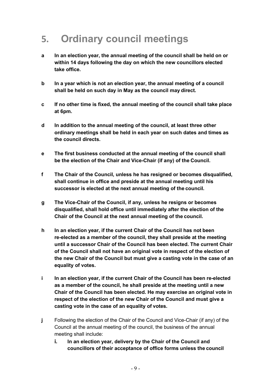# <span id="page-8-0"></span>**5. Ordinary council meetings**

- **a In an election year, the annual meeting of the council shall be held on or within 14 days following the day on which the new councillors elected take office.**
- **b In a year which is not an election year, the annual meeting of a council shall be held on such day in May as the council may direct.**
- **c If no other time is fixed, the annual meeting of the council shall take place at 6pm.**
- **d In addition to the annual meeting of the council, at least three other ordinary meetings shall be held in each year on such dates and times as the council directs.**
- **e The first business conducted at the annual meeting of the council shall be the election of the Chair and Vice-Chair (if any) of the Council.**
- **f The Chair of the Council, unless he has resigned or becomes disqualified, shall continue in office and preside at the annual meeting until his successor is elected at the next annual meeting of the council.**
- **g The Vice-Chair of the Council, if any, unless he resigns or becomes disqualified, shall hold office until immediately after the election of the Chair of the Council at the next annual meeting of the council.**
- **h In an election year, if the current Chair of the Council has not been re-elected as a member of the council, they shall preside at the meeting until a successor Chair of the Council has been elected. The current Chair of the Council shall not have an original vote in respect of the election of the new Chair of the Council but must give a casting vote in the case of an equality of votes.**
- **i In an election year, if the current Chair of the Council has been re-elected as a member of the council, he shall preside at the meeting until a new Chair of the Council has been elected. He may exercise an original vote in respect of the election of the new Chair of the Council and must give a casting vote in the case of an equality of votes.**
- **j** Following the election of the Chair of the Council and Vice-Chair (if any) of the Council at the annual meeting of the council, the business of the annual meeting shall include:
	- **i. In an election year, delivery by the Chair of the Council and councillors of their acceptance of office forms unless the council**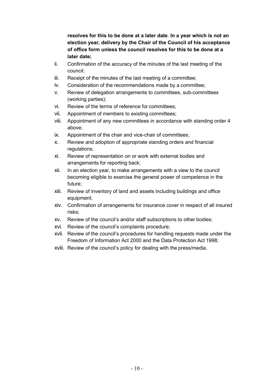**resolves for this to be done at a later date**. **In a year which is not an election year, delivery by the Chair of the Council of his acceptance of office form unless the council resolves for this to be done at a later date;**

- ii. Confirmation of the accuracy of the minutes of the last meeting of the council;
- iii. Receipt of the minutes of the last meeting of a committee;
- iv. Consideration of the recommendations made by a committee;
- v. Review of delegation arrangements to committees, sub-committees (working parties);
- vi. Review of the terms of reference for committees;
- vii. Appointment of members to existing committees;
- viii. Appointment of any new committees in accordance with standing order 4 above;
- ix. Appointment of the chair and vice-chair of committees;
- x. Review and adoption of appropriate standing orders and financial regulations;
- xi. Review of representation on or work with external bodies and arrangements for reporting back;
- xii. In an election year, to make arrangements with a view to the council becoming eligible to exercise the general power of competence in the future;
- xiii. Review of inventory of land and assets including buildings and office equipment;
- xiv. Confirmation of arrangements for insurance cover in respect of all insured risks;
- xv. Review of the council's and/or staff subscriptions to other bodies;
- xvi. Review of the council's complaints procedure;
- xvii. Review of the council's procedures for handling requests made under the Freedom of Information Act 2000 and the Data Protection Act 1998;
- xviii. Review of the council's policy for dealing with the press/media.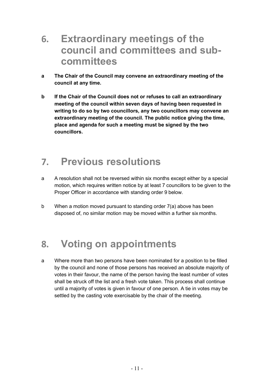- **6. Extraordinary meetings of the council and committees and subcommittees**
- **a The Chair of the Council may convene an extraordinary meeting of the council at any time.**
- **b If the Chair of the Council does not or refuses to call an extraordinary meeting of the council within seven days of having been requested in writing to do so by two councillors, any two councillors may convene an extraordinary meeting of the council. The public notice giving the time, place and agenda for such a meeting must be signed by the two councillors.**

# <span id="page-10-0"></span>**7. Previous resolutions**

- a A resolution shall not be reversed within six months except either by a special motion, which requires written notice by at least 7 councillors to be given to the Proper Officer in accordance with standing order 9 below.
- b When a motion moved pursuant to standing order 7(a) above has been disposed of, no similar motion may be moved within a further six months.

#### <span id="page-10-1"></span>**8. Voting on appointments**

a Where more than two persons have been nominated for a position to be filled by the council and none of those persons has received an absolute majority of votes in their favour, the name of the person having the least number of votes shall be struck off the list and a fresh vote taken. This process shall continue until a majority of votes is given in favour of one person. A tie in votes may be settled by the casting vote exercisable by the chair of the meeting.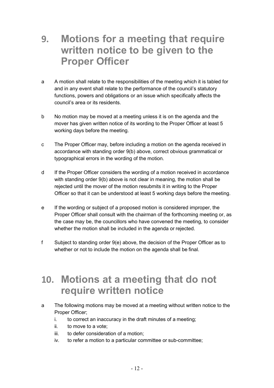#### **9. Motions for a meeting that require written notice to be given to the Proper Officer**

- a A motion shall relate to the responsibilities of the meeting which it is tabled for and in any event shall relate to the performance of the council's statutory functions, powers and obligations or an issue which specifically affects the council's area or its residents.
- b No motion may be moved at a meeting unless it is on the agenda and the mover has given written notice of its wording to the Proper Officer at least 5 working days before the meeting.
- c The Proper Officer may, before including a motion on the agenda received in accordance with standing order 9(b) above, correct obvious grammatical or typographical errors in the wording of the motion.
- d If the Proper Officer considers the wording of a motion received in accordance with standing order 9(b) above is not clear in meaning, the motion shall be rejected until the mover of the motion resubmits it in writing to the Proper Officer so that it can be understood at least 5 working days before the meeting.
- e If the wording or subject of a proposed motion is considered improper, the Proper Officer shall consult with the chairman of the forthcoming meeting or, as the case may be, the councillors who have convened the meeting, to consider whether the motion shall be included in the agenda or rejected.
- f Subject to standing order 9(e) above, the decision of the Proper Officer as to whether or not to include the motion on the agenda shall be final.

#### <span id="page-11-0"></span>**10. Motions at a meeting that do not require written notice**

- a The following motions may be moved at a meeting without written notice to the Proper Officer;
	- i. to correct an inaccuracy in the draft minutes of a meeting;
	- ii. to move to a vote;
	- iii. to defer consideration of a motion;
	- iv. to refer a motion to a particular committee or sub-committee;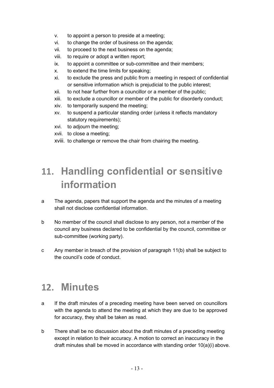- v. to appoint a person to preside at a meeting;
- vi. to change the order of business on the agenda;
- vii. to proceed to the next business on the agenda;
- viii. to require or adopt a written report;
- ix. to appoint a committee or sub-committee and their members;
- x. to extend the time limits for speaking;
- xi. to exclude the press and public from a meeting in respect of confidential or sensitive information which is prejudicial to the public interest;
- xii. to not hear further from a councillor or a member of the public;
- xiii. to exclude a councillor or member of the public for disorderly conduct;
- xiv. to temporarily suspend the meeting;
- xv. to suspend a particular standing order (unless it reflects mandatory statutory requirements);
- xvi. to adjourn the meeting;
- xvii. to close a meeting;
- xviii. to challenge or remove the chair from chairing the meeting.

# <span id="page-12-0"></span>**11. Handling confidential or sensitive information**

- a The agenda, papers that support the agenda and the minutes of a meeting shall not disclose confidential information.
- b No member of the council shall disclose to any person, not a member of the council any business declared to be confidential by the council, committee or sub-committee (working party).
- c Any member in breach of the provision of paragraph 11(b) shall be subject to the council's code of conduct.

#### <span id="page-12-1"></span>**12. Minutes**

- a If the draft minutes of a preceding meeting have been served on councillors with the agenda to attend the meeting at which they are due to be approved for accuracy, they shall be taken as read.
- b There shall be no discussion about the draft minutes of a preceding meeting except in relation to their accuracy. A motion to correct an inaccuracy in the draft minutes shall be moved in accordance with standing order 10(a)(i) above.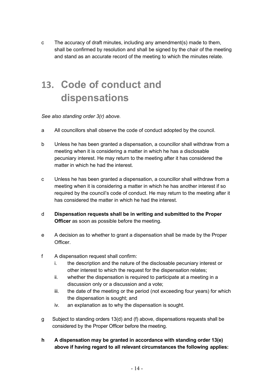c The accuracy of draft minutes, including any amendment(s) made to them, shall be confirmed by resolution and shall be signed by the chair of the meeting and stand as an accurate record of the meeting to which the minutes relate.

# <span id="page-13-0"></span>**13. Code of conduct and dispensations**

#### *See also standing order 3(r) above.*

- a All councillors shall observe the code of conduct adopted by the council.
- b Unless he has been granted a dispensation, a councillor shall withdraw from a meeting when it is considering a matter in which he has a disclosable pecuniary interest. He may return to the meeting after it has considered the matter in which he had the interest.
- c Unless he has been granted a dispensation, a councillor shall withdraw from a meeting when it is considering a matter in which he has another interest if so required by the council's code of conduct. He may return to the meeting after it has considered the matter in which he had the interest.
- d **Dispensation requests shall be in writing and submitted to the Proper Officer** as soon as possible before the meeting.
- e A decision as to whether to grant a dispensation shall be made by the Proper Officer.
- f A dispensation request shall confirm:
	- i. the description and the nature of the disclosable pecuniary interest or other interest to which the request for the dispensation relates;
	- ii. whether the dispensation is required to participate at a meeting in a discussion only or a discussion and a vote;
	- iii. the date of the meeting or the period (not exceeding four years) for which the dispensation is sought; and
	- iv. an explanation as to why the dispensation is sought.
- g Subject to standing orders 13(d) and (f) above, dispensations requests shall be considered by the Proper Officer before the meeting.
- **h A dispensation may be granted in accordance with standing order 13(e) above if having regard to all relevant circumstances the following applies:**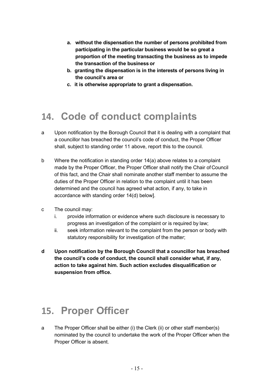- **a. without the dispensation the number of persons prohibited from participating in the particular business would be so great a proportion of the meeting transacting the business as to impede the transaction of the business or**
- **b. granting the dispensation is in the interests of persons living in the council's area or**
- **c. it is otherwise appropriate to grant a dispensation.**

#### <span id="page-14-0"></span>**14. Code of conduct complaints**

- a Upon notification by the Borough Council that it is dealing with a complaint that a councillor has breached the council's code of conduct, the Proper Officer shall, subject to standing order 11 above, report this to the council.
- b Where the notification in standing order 14(a) above relates to a complaint made by the Proper Officer, the Proper Officer shall notify the Chair of Council of this fact, and the Chair shall nominate another staff member to assume the duties of the Proper Officer in relation to the complaint until it has been determined and the council has agreed what action, if any, to take in accordance with standing order 14(d) below].
- c The council may:
	- i. provide information or evidence where such disclosure is necessary to progress an investigation of the complaint or is required by law;
	- ii. seek information relevant to the complaint from the person or body with statutory responsibility for investigation of the matter;
- **d Upon notification by the Borough Council that a councillor has breached the council's code of conduct, the council shall consider what, if any, action to take against him. Such action excludes disqualification or suspension from office.**

#### <span id="page-14-1"></span>**15. Proper Officer**

a The Proper Officer shall be either (i) the Clerk (ii) or other staff member(s) nominated by the council to undertake the work of the Proper Officer when the Proper Officer is absent.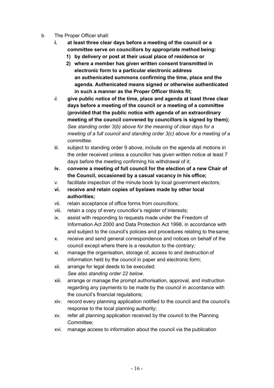- b The Proper Officer shall:
	- **i. at least three clear days before a meeting of the council or a committee serve on councillors by appropriate method being:**
		- **1) by delivery or post at their usual place of residence or**
		- **2) where a member has given written consent transmitted in electronic form to a particular electronic address an authenicated summons confirming the time, place and the agenda. Authenicated means signed or otherwise authenticated in such a manner as the Proper Officer thinks fit;**
	- *ii.* **give public notice of the time, place and agenda at least three clear days before a meeting of the council or a meeting of a committee (provided that the public notice with agenda of an extraordinary meeting of the council convened by councillors is signed by them);**  *See standing order 3(b) above for the meaning of clear days for a meeting of a full council and standing order 3(c) above for a meeting of a committee.*
	- iii. subject to standing order 9 above, include on the agenda all motions in the order received unless a councillor has given written notice at least 7 days before the meeting confirming his withdrawal of it;
	- **iv. convene a meeting of full council for the election of a new Chair of the Council, occasioned by a casual vacancy in his office;**
	- v. facilitate inspection of the minute book by local government electors;
	- **vi. receive and retain copies of byelaws made by other local authorities;**
	- vii. retain acceptance of office forms from councillors;
	- viii. retain a copy of every councillor's register of interests;
	- ix. assist with responding to requests made under the Freedom of Information Act 2000 and Data Protection Act 1998, in accordance with and subject to the council's policies and procedures relating to thesame;
	- x. receive and send general correspondence and notices on behalf of the council except where there is a resolution to the contrary;
	- xi. manage the organisation, storage of, access to and destruction of information held by the council in paper and electronic form;
	- xii. arrange for legal deeds to be executed; *See also standing order 22 below.*
	- xiii. arrange or manage the prompt authorisation, approval, and instruction regarding any payments to be made by the council in accordance with the council's financial regulations;
	- xiv. record every planning application notified to the council and the council's response to the local planning authority;
	- xv. refer all planning application received by the council to the Planning Committee;
	- xvi. manage access to information about the council via the publication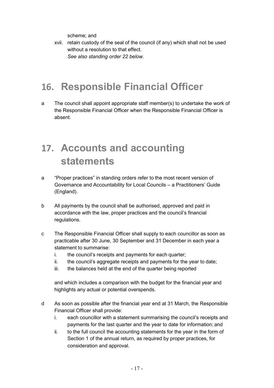scheme; and

xvii. retain custody of the seal of the council (if any) which shall not be used without a resolution to that effect. *See also standing order 22 below.*

#### <span id="page-16-0"></span>**16. Responsible Financial Officer**

a The council shall appoint appropriate staff member(s) to undertake the work of the Responsible Financial Officer when the Responsible Financial Officer is absent.

# <span id="page-16-1"></span>**17. Accounts and accounting statements**

- a "Proper practices" in standing orders refer to the most recent version of Governance and Accountability for Local Councils – a Practitioners' Guide (England).
- b All payments by the council shall be authorised, approved and paid in accordance with the law, proper practices and the council's financial regulations.
- c The Responsible Financial Officer shall supply to each councillor as soon as practicable after 30 June, 30 September and 31 December in each year a statement to summarise:
	- i. the council's receipts and payments for each quarter;
	- ii. the council's aggregate receipts and payments for the year to date;
	- iii. the balances held at the end of the quarter being reported

and which includes a comparison with the budget for the financial year and highlights any actual or potential overspends.

- d As soon as possible after the financial year end at 31 March, the Responsible Financial Officer shall provide:
	- i. each councillor with a statement summarising the council's receipts and payments for the last quarter and the year to date for information; and
	- ii. to the full council the accounting statements for the year in the form of Section 1 of the annual return, as required by proper practices, for consideration and approval.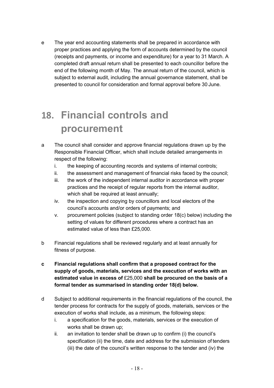e The year end accounting statements shall be prepared in accordance with proper practices and applying the form of accounts determined by the council (receipts and payments, or income and expenditure) for a year to 31 March. A completed draft annual return shall be presented to each councillor before the end of the following month of May. The annual return of the council, which is subject to external audit, including the annual governance statement, shall be presented to council for consideration and formal approval before 30 June.

# <span id="page-17-0"></span>**18. Financial controls and procurement**

- a The council shall consider and approve financial regulations drawn up by the Responsible Financial Officer, which shall include detailed arrangements in respect of the following:
	- i. the keeping of accounting records and systems of internal controls;
	- ii. the assessment and management of financial risks faced by the council;
	- iii. the work of the independent internal auditor in accordance with proper practices and the receipt of regular reports from the internal auditor, which shall be required at least annually;
	- iv. the inspection and copying by councillors and local electors of the council's accounts and/or orders of payments; and
	- v. procurement policies (subject to standing order 18(c) below) including the setting of values for different procedures where a contract has an estimated value of less than £25,000.
- b Financial regulations shall be reviewed regularly and at least annually for fitness of purpose.
- **c Financial regulations shall confirm that a proposed contract for the supply of goods, materials, services and the execution of works with an estimated value in excess of** £25,000 **shall be procured on the basis of a formal tender as summarised in standing order 18(d) below.**
- d Subject to additional requirements in the financial regulations of the council, the tender process for contracts for the supply of goods, materials, services or the execution of works shall include, as a minimum, the following steps:
	- i. a specification for the goods, materials, services or the execution of works shall be drawn up;
	- ii. an invitation to tender shall be drawn up to confirm (i) the council's specification (ii) the time, date and address for the submission of tenders (iii) the date of the council's written response to the tender and (iv) the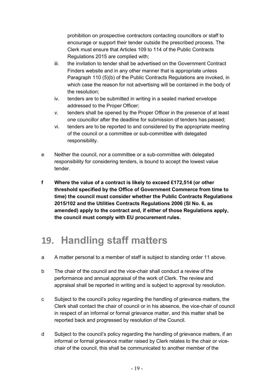prohibition on prospective contractors contacting councillors or staff to encourage or support their tender outside the prescribed process. The Clerk must ensure that Articles 109 to 114 of the Public Contracts Regulations 2015 are complied with;

- iii. the invitation to tender shall be advertised on the Government Contract Finders website and in any other manner that is appropriate unless Paragraph 110 (5)(b) of the Public Contracts Regulations are invoked, in which case the reason for not advertising will be contained in the body of the resolution;
- iv. tenders are to be submitted in writing in a sealed marked envelope addressed to the Proper Officer;
- v. tenders shall be opened by the Proper Officer in the presence of at least one councillor after the deadline for submission of tenders has passed;
- vi. tenders are to be reported to and considered by the appropriate meeting of the council or a committee or sub-committee with delegated responsibility.
- e Neither the council, nor a committee or a sub-committee with delegated responsibility for considering tenders, is bound to accept the lowest value tender.
- **f Where the value of a contract is likely to exceed £172,514 (or other threshold specified by the Office of Government Commerce from time to time) the council must consider whether the Public Contracts Regulations 2015/102 and the Utilities Contracts Regulations 2006 (SI No. 6, as amended) apply to the contract and, if either of those Regulations apply, the council must comply with EU procurement rules.**

# <span id="page-18-0"></span>**19. Handling staff matters**

- a A matter personal to a member of staff is subject to standing order 11 above.
- b The chair of the council and the vice-chair shall conduct a review of the performance and annual appraisal of the work of Clerk. The review and appraisal shall be reported in writing and is subject to approval by resolution.
- c Subject to the council's policy regarding the handling of grievance matters, the Clerk shall contact the chair of council or in his absence, the vice-chair of council in respect of an informal or formal grievance matter, and this matter shall be reported back and progressed by resolution of the Council.
- d Subject to the council's policy regarding the handling of grievance matters, if an informal or formal grievance matter raised by Clerk relates to the chair or vicechair of the council, this shall be communicated to another member of the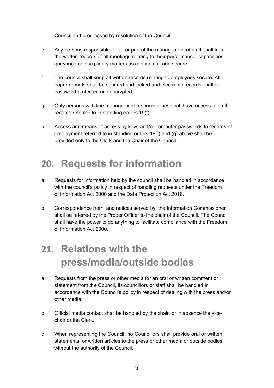Council and progressed by resolution of the Council.

- e Any persons responsible for all or part of the management of staff shall treat the written records of all meetings relating to their performance, capabilities, grievance or disciplinary matters as confidential and secure.
- f The council shall keep all written records relating to employees secure. All paper records shall be secured and locked and electronic records shall be password protected and encrypted.
- g Only persons with line management responsibilities shall have access to staff records referred to in standing orders 19(f).
- h Access and means of access by keys and/or computer passwords to records of employment referred to in standing orders 19(f) and (g) above shall be provided only to the Clerk and the Chair of the Council.

# <span id="page-19-0"></span>**20. Requests for information**

- a Requests for information held by the council shall be handled in accordance with the council's policy in respect of handling requests under the Freedom of Information Act 2000 and the Data Protection Act 2018.
- b Correspondence from, and notices served by, the Information Commissioner shall be referred by the Proper Officer to the chair of the Council. The Council shall have the power to do anything to facilitate compliance with the Freedom of Information Act 2000.

# **21. Relations with the press/media/outside bodies**

- a Requests from the press or other media for an oral or written comment or statement from the Council, its councillors or staff shall be handled in accordance with the Council's policy in respect of dealing with the press and/or other media.
- b Official media contact shall be handled by the chair, or in absence the vicechair or the Clerk.
- c When representing the Council, no Councillors shall provide oral or written statements, or written articles to the press or other media or outside bodies without the authority of the Council.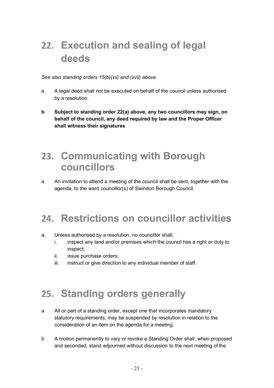# <span id="page-20-0"></span>**22. Execution and sealing of legal deeds**

*See also standing orders 15(b)(xii) and (xvii) above.*

- a A legal deed shall not be executed on behalf of the council unless authorised by a resolution.
- **b Subject to standing order 22(a) above, any two councillors may sign, on behalf of the council, any deed required by law and the Proper Officer shall witness their signatures**

#### **23. Communicating with Borough councillors**

a An invitation to attend a meeting of the council shall be sent, together with the agenda, to the ward councillor(s) of Swindon Borough Council.

# <span id="page-20-1"></span>**24. Restrictions on councillor activities**

- a. Unless authorised by a resolution, no councillor shall:
	- i. inspect any land and/or premises which the council has a right or duty to inspect;
	- ii. issue purchase orders;
	- iii. instruct or give direction to any individual member of staff.

# <span id="page-20-2"></span>**25. Standing orders generally**

- a All or part of a standing order, except one that incorporates mandatory statutory requirements, may be suspended by resolution in relation to the consideration of an item on the agenda for a meeting.
- b A motion permanently to vary or revoke a Standing Order shall, when proposed and seconded, stand adjourned without discussion to the next meeting of the